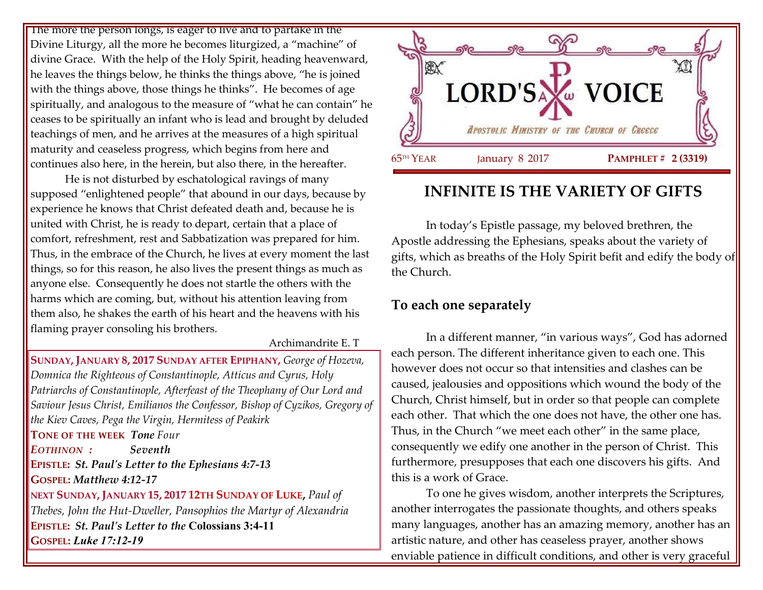The more the person longs, is eager to live and to partake in the Divine Liturgy, all the more he becomes liturgized, a "machine" of divine Grace. With the help of the Holy Spirit, heading heavenward, he leaves the things below, he thinks the things above, "he is joined with the things above, those things he thinks". He becomes of age spiritually, and analogous to the measure of "what he can contain" he ceases to be spiritually an infant who is lead and brought by deluded teachings of men, and he arrives at the measures of a high spiritual maturity and ceaseless progress, which begins from here and continues also here, in the herein, but also there, in the hereafter.

He is not disturbed by eschatological ravings of many supposed "enlightened people" that abound in our days, because by experience he knows that Christ defeated death and, because he is united with Christ, he is ready to depart, certain that a place of comfort, refreshment, rest and Sabbatization was prepared for him. Thus, in the embrace of the Church, he lives at every moment the last things, so for this reason, he also lives the present things as much as anyone else. Consequently he does not startle the others with the harms which are coming, but, without his attention leaving from them also, he shakes the earth of his heart and the heavens with his flaming prayer consoling his brothers.

### Archimandrite E. T

**SUNDAY, JANUARY 8, 2017 SUNDAY AFTER EPIPHANY,** *George of Hozeva, Domnica the Righteous of Constantinople, Atticus and Cyrus, Holy Patriarchs of Constantinople, Afterfeast of the Theophany of Our Lord and Saviour Jesus Christ, Emilianos the Confessor, Bishop of Cyzikos, Gregory of the Kiev Caves, Pega the Virgin, Hermitess of Peakirk* **TONE OF THE WEEK** *Tone Four EOTHINON : Seventh* **EPISTLE:** *St. Paul's Letter to the Ephesians 4:7-13* **GOSPEL:** *Matthew 4:12-17* **NEXT SUNDAY, JANUARY 15, 2017 12TH SUNDAY OF LUKE,** *Paul of Thebes, John the Hut-Dweller, Pansophios the Martyr of Alexandria* **EPISTLE:** *St. Paul's Letter to the* **Colossians 3:4-11 GOSPEL:** *Luke 17:12-19*



# **INFINITE IS THE VARIETY OF GIFTS**

In today's Epistle passage, my beloved brethren, the Apostle addressing the Ephesians, speaks about the variety of gifts, which as breaths of the Holy Spirit befit and edify the body of the Church.

## **To each one separately**

In a different manner, "in various ways", God has adorned each person. The different inheritance given to each one. This however does not occur so that intensities and clashes can be caused, jealousies and oppositions which wound the body of the Church, Christ himself, but in order so that people can complete each other. That which the one does not have, the other one has. Thus, in the Church "we meet each other" in the same place, consequently we edify one another in the person of Christ. This furthermore, presupposes that each one discovers his gifts. And this is a work of Grace.

To one he gives wisdom, another interprets the Scriptures, another interrogates the passionate thoughts, and others speaks many languages, another has an amazing memory, another has an artistic nature, and other has ceaseless prayer, another shows enviable patience in difficult conditions, and other is very graceful